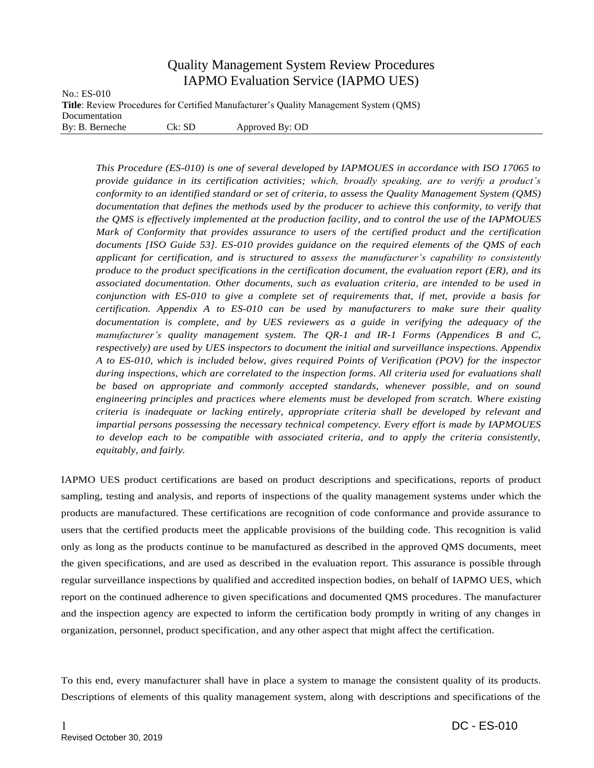## Quality Management System Review Procedures IAPMO Evaluation Service (IAPMO UES)

No.: ES-010 **Title**: Review Procedures for Certified Manufacturer's Quality Management System (QMS) Documentation By: B. Berneche Ck: SD Approved By: OD

*This Procedure (ES-010) is one of several developed by IAPMOUES in accordance with ISO 17065 to provide guidance in its certification activities; which, broadly speaking, are to verify a product's conformity to an identified standard or set of criteria, to assess the Quality Management System (QMS) documentation that defines the methods used by the producer to achieve this conformity, to verify that the QMS is effectively implemented at the production facility, and to control the use of the IAPMOUES Mark of Conformity that provides assurance to users of the certified product and the certification documents [ISO Guide 53]. ES-010 provides guidance on the required elements of the QMS of each applicant for certification, and is structured to assess the manufacturer's capability to consistently produce to the product specifications in the certification document, the evaluation report (ER), and its associated documentation. Other documents, such as evaluation criteria, are intended to be used in conjunction with ES-010 to give a complete set of requirements that, if met, provide a basis for certification. Appendix A to ES-010 can be used by manufacturers to make sure their quality documentation is complete, and by UES reviewers as a guide in verifying the adequacy of the manufacturer's quality management system. The QR-1 and IR-1 Forms (Appendices B and C, respectively) are used by UES inspectors to document the initial and surveillance inspections. Appendix A to ES-010, which is included below, gives required Points of Verification (POV) for the inspector during inspections, which are correlated to the inspection forms. All criteria used for evaluations shall be based on appropriate and commonly accepted standards, whenever possible, and on sound engineering principles and practices where elements must be developed from scratch. Where existing criteria is inadequate or lacking entirely, appropriate criteria shall be developed by relevant and impartial persons possessing the necessary technical competency. Every effort is made by IAPMOUES to develop each to be compatible with associated criteria, and to apply the criteria consistently, equitably, and fairly.*

IAPMO UES product certifications are based on product descriptions and specifications, reports of product sampling, testing and analysis, and reports of inspections of the quality management systems under which the products are manufactured. These certifications are recognition of code conformance and provide assurance to users that the certified products meet the applicable provisions of the building code. This recognition is valid only as long as the products continue to be manufactured as described in the approved QMS documents, meet the given specifications, and are used as described in the evaluation report. This assurance is possible through regular surveillance inspections by qualified and accredited inspection bodies, on behalf of IAPMO UES, which report on the continued adherence to given specifications and documented QMS procedures. The manufacturer and the inspection agency are expected to inform the certification body promptly in writing of any changes in organization, personnel, product specification, and any other aspect that might affect the certification.

To this end, every manufacturer shall have in place a system to manage the consistent quality of its products. Descriptions of elements of this quality management system, along with descriptions and specifications of the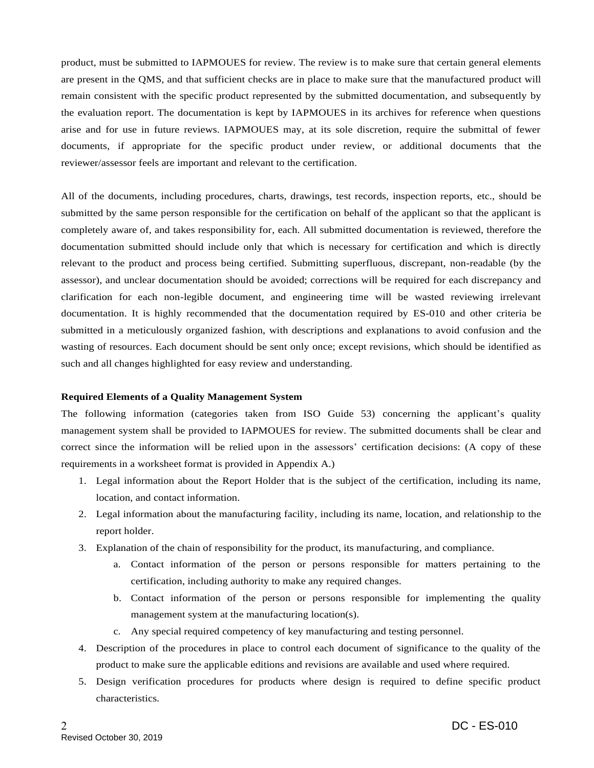product, must be submitted to IAPMOUES for review. The review is to make sure that certain general elements are present in the QMS, and that sufficient checks are in place to make sure that the manufactured product will remain consistent with the specific product represented by the submitted documentation, and subsequently by the evaluation report. The documentation is kept by IAPMOUES in its archives for reference when questions arise and for use in future reviews. IAPMOUES may, at its sole discretion, require the submittal of fewer documents, if appropriate for the specific product under review, or additional documents that the reviewer/assessor feels are important and relevant to the certification.

All of the documents, including procedures, charts, drawings, test records, inspection reports, etc., should be submitted by the same person responsible for the certification on behalf of the applicant so that the applicant is completely aware of, and takes responsibility for, each. All submitted documentation is reviewed, therefore the documentation submitted should include only that which is necessary for certification and which is directly relevant to the product and process being certified. Submitting superfluous, discrepant, non-readable (by the assessor), and unclear documentation should be avoided; corrections will be required for each discrepancy and clarification for each non-legible document, and engineering time will be wasted reviewing irrelevant documentation. It is highly recommended that the documentation required by ES-010 and other criteria be submitted in a meticulously organized fashion, with descriptions and explanations to avoid confusion and the wasting of resources. Each document should be sent only once; except revisions, which should be identified as such and all changes highlighted for easy review and understanding.

## **Required Elements of a Quality Management System**

The following information (categories taken from ISO Guide 53) concerning the applicant's quality management system shall be provided to IAPMOUES for review. The submitted documents shall be clear and correct since the information will be relied upon in the assessors' certification decisions: (A copy of these requirements in a worksheet format is provided in Appendix A.)

- 1. Legal information about the Report Holder that is the subject of the certification, including its name, location, and contact information.
- 2. Legal information about the manufacturing facility, including its name, location, and relationship to the report holder.
- 3. Explanation of the chain of responsibility for the product, its manufacturing, and compliance.
	- a. Contact information of the person or persons responsible for matters pertaining to the certification, including authority to make any required changes.
	- b. Contact information of the person or persons responsible for implementing the quality management system at the manufacturing location(s).
	- c. Any special required competency of key manufacturing and testing personnel.
- 4. Description of the procedures in place to control each document of significance to the quality of the product to make sure the applicable editions and revisions are available and used where required.
- 5. Design verification procedures for products where design is required to define specific product characteristics.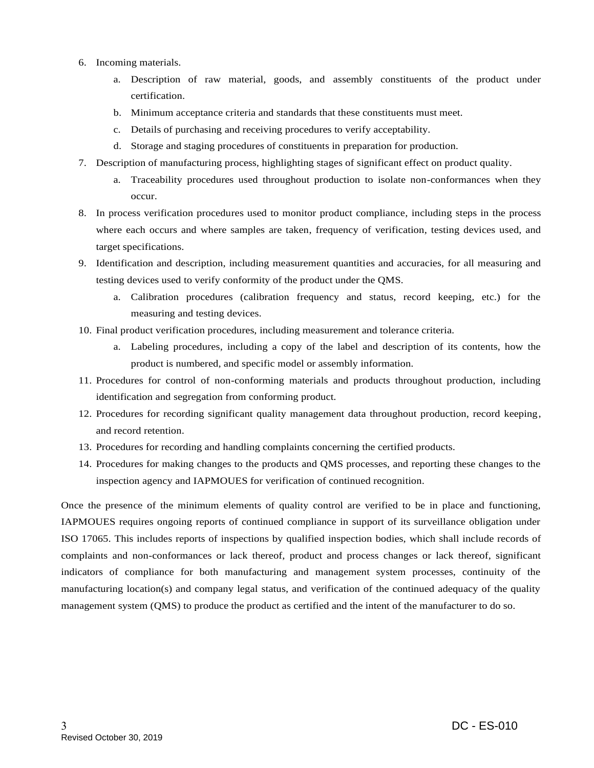- 6. Incoming materials.
	- a. Description of raw material, goods, and assembly constituents of the product under certification.
	- b. Minimum acceptance criteria and standards that these constituents must meet.
	- c. Details of purchasing and receiving procedures to verify acceptability.
	- d. Storage and staging procedures of constituents in preparation for production.
- 7. Description of manufacturing process, highlighting stages of significant effect on product quality.
	- a. Traceability procedures used throughout production to isolate non-conformances when they occur.
- 8. In process verification procedures used to monitor product compliance, including steps in the process where each occurs and where samples are taken, frequency of verification, testing devices used, and target specifications.
- 9. Identification and description, including measurement quantities and accuracies, for all measuring and testing devices used to verify conformity of the product under the QMS.
	- a. Calibration procedures (calibration frequency and status, record keeping, etc.) for the measuring and testing devices.
- 10. Final product verification procedures, including measurement and tolerance criteria.
	- a. Labeling procedures, including a copy of the label and description of its contents, how the product is numbered, and specific model or assembly information.
- 11. Procedures for control of non-conforming materials and products throughout production, including identification and segregation from conforming product.
- 12. Procedures for recording significant quality management data throughout production, record keeping, and record retention.
- 13. Procedures for recording and handling complaints concerning the certified products.
- 14. Procedures for making changes to the products and QMS processes, and reporting these changes to the inspection agency and IAPMOUES for verification of continued recognition.

Once the presence of the minimum elements of quality control are verified to be in place and functioning, IAPMOUES requires ongoing reports of continued compliance in support of its surveillance obligation under ISO 17065. This includes reports of inspections by qualified inspection bodies, which shall include records of complaints and non-conformances or lack thereof, product and process changes or lack thereof, significant indicators of compliance for both manufacturing and management system processes, continuity of the manufacturing location(s) and company legal status, and verification of the continued adequacy of the quality management system (QMS) to produce the product as certified and the intent of the manufacturer to do so.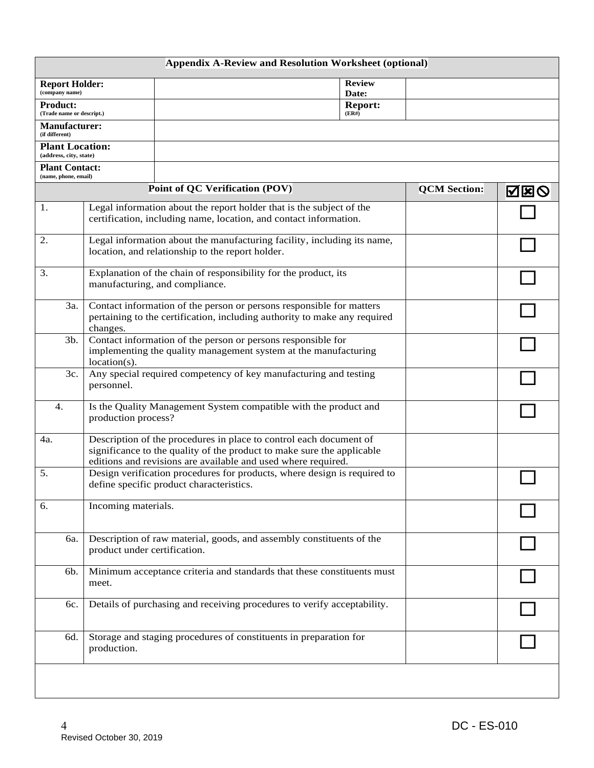| <b>Appendix A-Review and Resolution Worksheet (optional)</b> |                                                                                                                                                                                                               |                                                                                                                                           |                     |     |  |  |  |  |  |
|--------------------------------------------------------------|---------------------------------------------------------------------------------------------------------------------------------------------------------------------------------------------------------------|-------------------------------------------------------------------------------------------------------------------------------------------|---------------------|-----|--|--|--|--|--|
| <b>Report Holder:</b><br>(company name)                      |                                                                                                                                                                                                               | <b>Review</b><br>Date:                                                                                                                    |                     |     |  |  |  |  |  |
| <b>Product:</b>                                              |                                                                                                                                                                                                               | <b>Report:</b>                                                                                                                            |                     |     |  |  |  |  |  |
| (Trade name or descript.)<br><b>Manufacturer:</b>            |                                                                                                                                                                                                               | (ER#)                                                                                                                                     |                     |     |  |  |  |  |  |
| (if different)                                               |                                                                                                                                                                                                               |                                                                                                                                           |                     |     |  |  |  |  |  |
| <b>Plant Location:</b><br>(address, city, state)             |                                                                                                                                                                                                               |                                                                                                                                           |                     |     |  |  |  |  |  |
| <b>Plant Contact:</b><br>(name, phone, email)                |                                                                                                                                                                                                               |                                                                                                                                           |                     |     |  |  |  |  |  |
|                                                              |                                                                                                                                                                                                               | <b>Point of QC Verification (POV)</b>                                                                                                     | <b>QCM</b> Section: | 囚困⊘ |  |  |  |  |  |
| 1.                                                           |                                                                                                                                                                                                               | Legal information about the report holder that is the subject of the<br>certification, including name, location, and contact information. |                     |     |  |  |  |  |  |
| 2.                                                           | Legal information about the manufacturing facility, including its name,<br>location, and relationship to the report holder.                                                                                   |                                                                                                                                           |                     |     |  |  |  |  |  |
| 3.                                                           | Explanation of the chain of responsibility for the product, its<br>manufacturing, and compliance.                                                                                                             |                                                                                                                                           |                     |     |  |  |  |  |  |
| 3a.                                                          | Contact information of the person or persons responsible for matters<br>pertaining to the certification, including authority to make any required<br>changes.                                                 |                                                                                                                                           |                     |     |  |  |  |  |  |
| 3b.                                                          | Contact information of the person or persons responsible for<br>implementing the quality management system at the manufacturing<br>location(s).                                                               |                                                                                                                                           |                     |     |  |  |  |  |  |
| 3c.                                                          | Any special required competency of key manufacturing and testing<br>personnel.                                                                                                                                |                                                                                                                                           |                     |     |  |  |  |  |  |
| 4.                                                           | production process?                                                                                                                                                                                           | Is the Quality Management System compatible with the product and                                                                          |                     |     |  |  |  |  |  |
| 4a.                                                          | Description of the procedures in place to control each document of<br>significance to the quality of the product to make sure the applicable<br>editions and revisions are available and used where required. |                                                                                                                                           |                     |     |  |  |  |  |  |
| 5.                                                           |                                                                                                                                                                                                               | Design verification procedures for products, where design is required to<br>define specific product characteristics.                      |                     |     |  |  |  |  |  |
| 6.                                                           | Incoming materials.                                                                                                                                                                                           |                                                                                                                                           |                     |     |  |  |  |  |  |
| 6a.                                                          | product under certification.                                                                                                                                                                                  | Description of raw material, goods, and assembly constituents of the                                                                      |                     |     |  |  |  |  |  |
| 6b.                                                          | meet.                                                                                                                                                                                                         | Minimum acceptance criteria and standards that these constituents must                                                                    |                     |     |  |  |  |  |  |
| 6с.                                                          |                                                                                                                                                                                                               | Details of purchasing and receiving procedures to verify acceptability.                                                                   |                     |     |  |  |  |  |  |
| 6d.                                                          | Storage and staging procedures of constituents in preparation for<br>production.                                                                                                                              |                                                                                                                                           |                     |     |  |  |  |  |  |
|                                                              |                                                                                                                                                                                                               |                                                                                                                                           |                     |     |  |  |  |  |  |